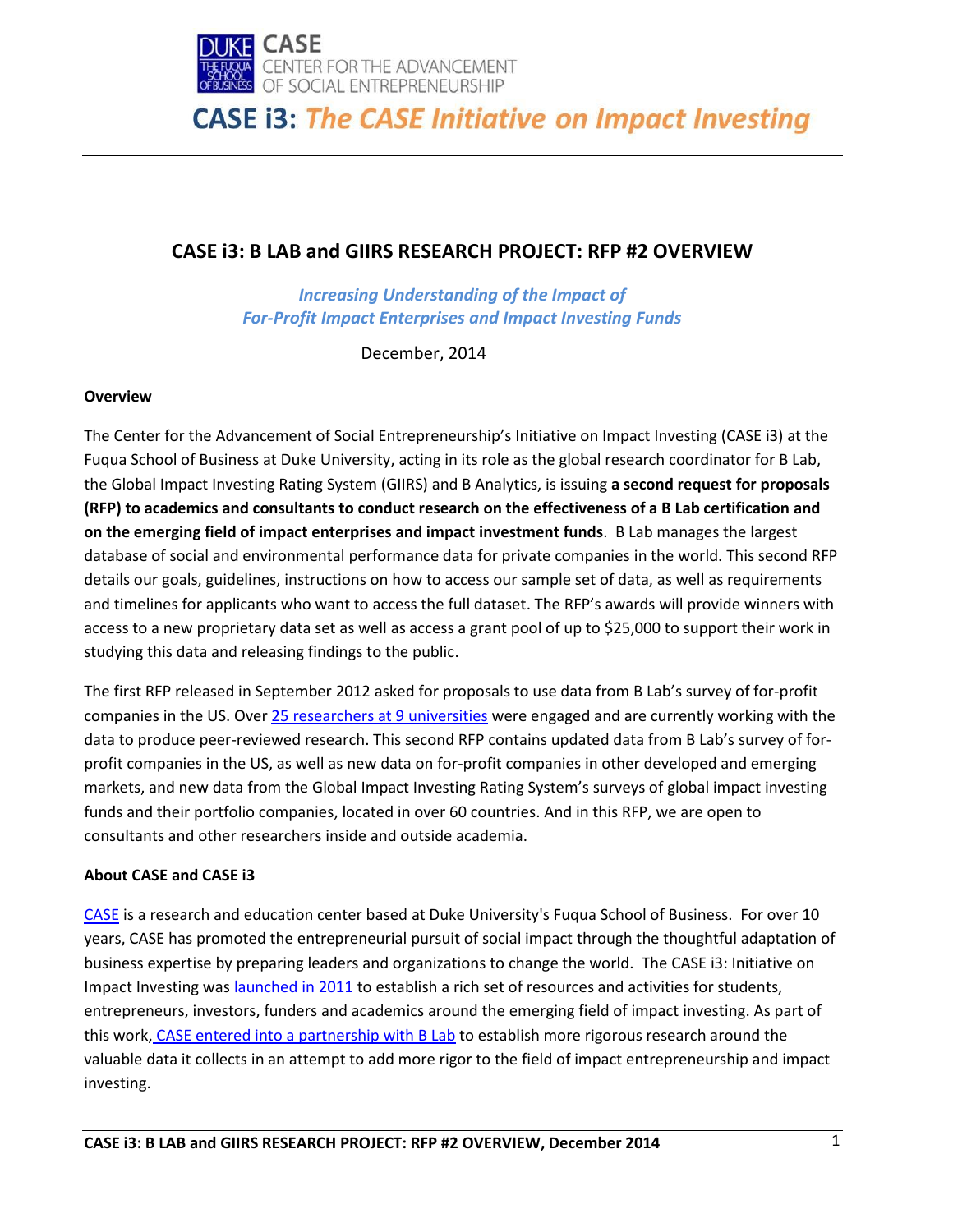

### **CASE i3: B LAB and GIIRS RESEARCH PROJECT: RFP #2 OVERVIEW**

*Increasing Understanding of the Impact of For-Profit Impact Enterprises and Impact Investing Funds*

December, 2014

### **Overview**

The Center for the Advancement of Social Entrepreneurship's Initiative on Impact Investing (CASE i3) at the Fuqua School of Business at Duke University, acting in its role as the global research coordinator for B Lab, the Global Impact Investing Rating System (GIIRS) and B Analytics, is issuing **a second request for proposals (RFP) to academics and consultants to conduct research on the effectiveness of a B Lab certification and on the emerging field of impact enterprises and impact investment funds**. B Lab manages the largest database of social and environmental performance data for private companies in the world. This second RFP details our goals, guidelines, instructions on how to access our sample set of data, as well as requirements and timelines for applicants who want to access the full dataset. The RFP's awards will provide winners with access to a new proprietary data set as well as access a grant pool of up to \$25,000 to support their work in studying this data and releasing findings to the public.

The first RFP released in September 2012 asked for proposals to use data from B Lab's survey of for-profit companies in the US. Ove[r 25 researchers at 9 universities](http://sites.duke.edu/casei3/case-i3-basics/case-i3-research/case-i3-b-lab-and-giirs-research-project/) were engaged and are currently working with the data to produce peer-reviewed research. This second RFP contains updated data from B Lab's survey of forprofit companies in the US, as well as new data on for-profit companies in other developed and emerging markets, and new data from the Global Impact Investing Rating System's surveys of global impact investing funds and their portfolio companies, located in over 60 countries. And in this RFP, we are open to consultants and other researchers inside and outside academia.

### **About CASE and CASE i3**

[CASE](http://www.caseatduke.org/) is a research and education center based at Duke University's Fuqua School of Business. For over 10 years, CASE has promoted the entrepreneurial pursuit of social impact through the thoughtful adaptation of business expertise by preparing leaders and organizations to change the world. The CASE i3: Initiative on Impact Investing was [launched in 2011](https://centers.fuqua.duke.edu/casenotes/2011/09/07/announcing-launch-of-case-i3-the-case-initiative-on-impact-investing/) to establish a rich set of resources and activities for students, entrepreneurs, investors, funders and academics around the emerging field of impact investing. As part of this work, [CASE entered into a partnership with B Lab](http://blogs.fuqua.duke.edu/casenotes/2011/01/28/gearing-up-for-giirs/) to establish more rigorous research around the valuable data it collects in an attempt to add more rigor to the field of impact entrepreneurship and impact investing.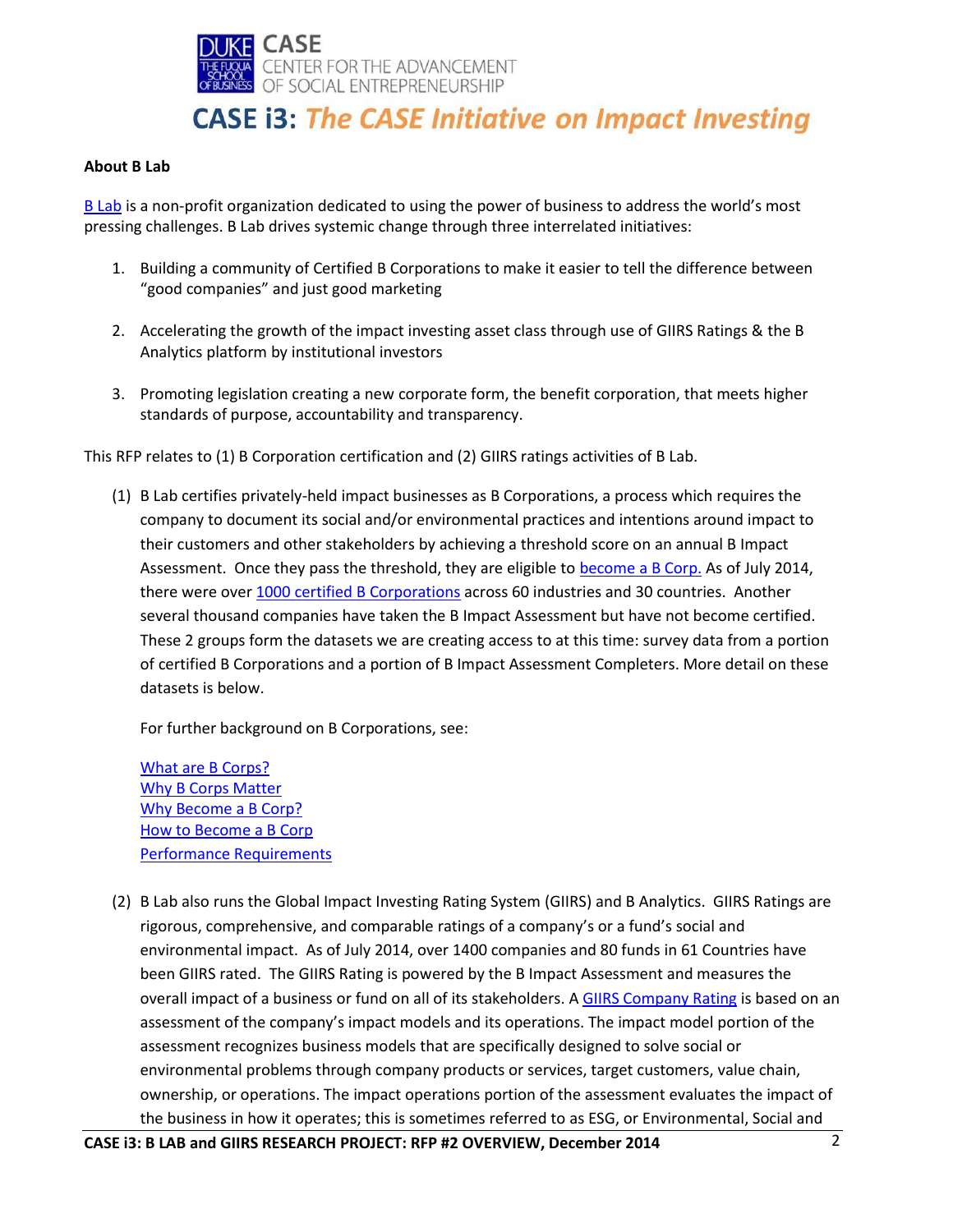

#### **About B Lab**

[B Lab](http://www.bcorporation.net/) is a non-profit organization dedicated to using the power of business to address the world's most pressing challenges. B Lab drives systemic change through three interrelated initiatives:

- 1. Building a community of Certified B Corporations to make it easier to tell the difference between "good companies" and just good marketing
- 2. Accelerating the growth of the impact investing asset class through use of GIIRS Ratings & the B Analytics platform by institutional investors
- 3. Promoting legislation creating a new corporate form, the benefit corporation, that meets higher standards of purpose, accountability and transparency.

This RFP relates to (1) B Corporation certification and (2) GIIRS ratings activities of B Lab.

(1) B Lab certifies privately-held impact businesses as B Corporations, a process which requires the company to document its social and/or environmental practices and intentions around impact to their customers and other stakeholders by achieving a threshold score on an annual B Impact Assessment. Once they pass the threshold, they are eligible to [become a B Corp.](http://www.bcorporation.net/become-a-b-Corp) As of July 2014, there were over 1000 [certified B Corporations](http://www.bcorporation.net/community) across 60 industries and 30 countries. Another several thousand companies have taken the B Impact Assessment but have not become certified. These 2 groups form the datasets we are creating access to at this time: survey data from a portion of certified B Corporations and a portion of B Impact Assessment Completers. More detail on these datasets is below.

For further background on B Corporations, see:

[What are B Corps?](http://www.bcorporation.net/what-are-b-corps) [Why B Corps Matter](http://www.bcorporation.net/what-are-b-corps/why-b-corps-matter) [Why Become a B Corp?](http://www.bcorporation.net/become-a-b-corp/why-become-a-b-corp) [How to Become a B Corp](http://www.bcorporation.net/become-a-b-corp/how-to-become-a-b-corp) [Performance Requirements](http://www.bcorporation.net/become-a-b-corp/how-to-become-a-b-corp/performance-requirements)

(2) B Lab also runs the Global Impact Investing Rating System (GIIRS) and B Analytics. GIIRS Ratings are rigorous, comprehensive, and comparable ratings of a company's or a fund's social and environmental impact. As of July 2014, over 1400 companies and 80 funds in 61 Countries have been GIIRS rated. The GIIRS Rating is powered by the B Impact Assessment and measures the overall impact of a business or fund on all of its stakeholders. [A GIIRS Company Rating](http://b-analytics.net/get-started/companies) is based on an assessment of the company's impact models and its operations. The impact model portion of the assessment recognizes business models that are specifically designed to solve social or environmental problems through company products or services, target customers, value chain, ownership, or operations. The impact operations portion of the assessment evaluates the impact of the business in how it operates; this is sometimes referred to as ESG, or Environmental, Social and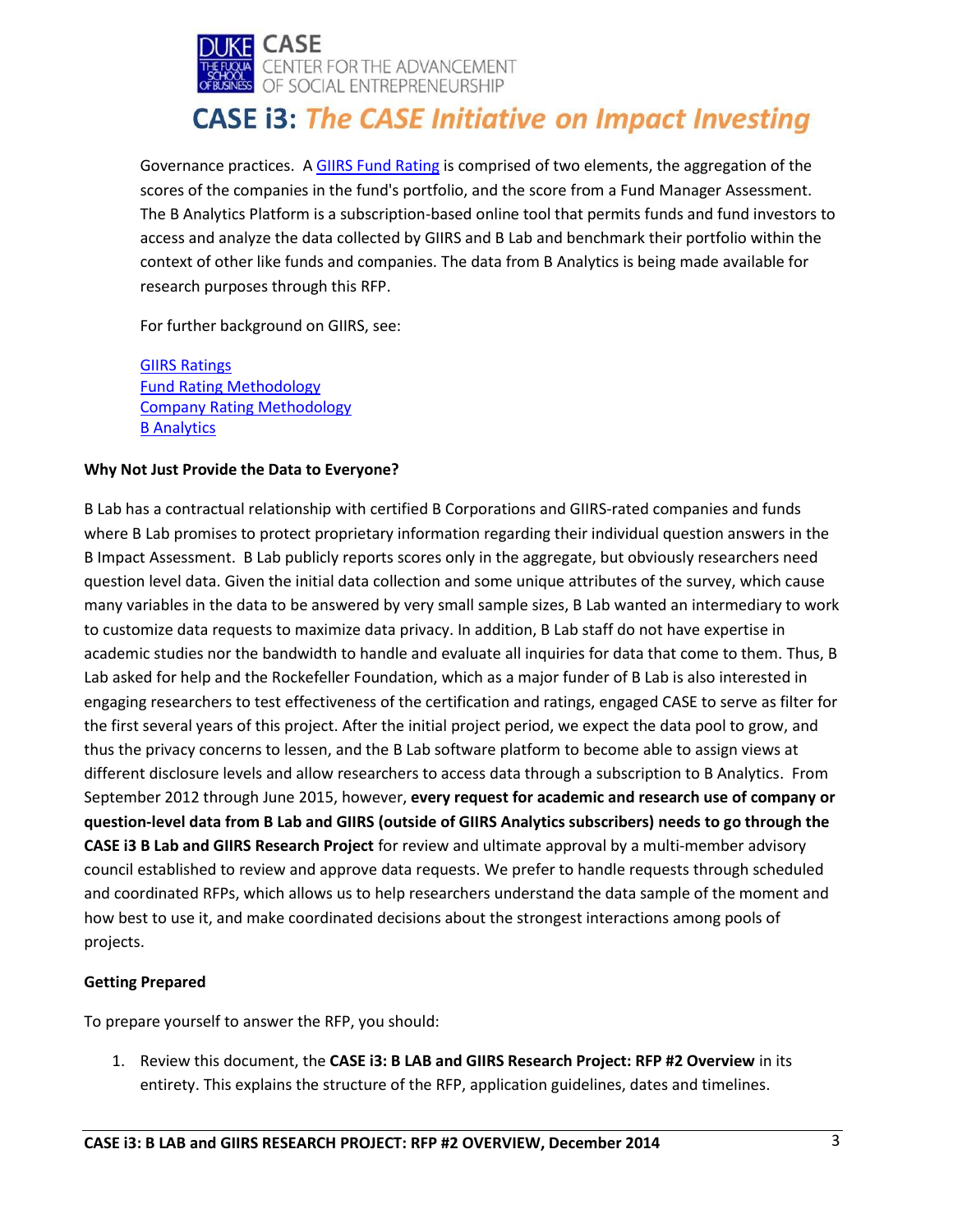

Governance practices. A [GIIRS Fund Rating](http://b-analytics.net/get-started/fund-managers) is comprised of two elements, the aggregation of the scores of the companies in the fund's portfolio, and the score from a Fund Manager Assessment. The B Analytics Platform is a subscription-based online tool that permits funds and fund investors to access and analyze the data collected by GIIRS and B Lab and benchmark their portfolio within the context of other like funds and companies. The data from B Analytics is being made available for research purposes through this RFP.

For further background on GIIRS, see:

[GIIRS Ratings](http://b-analytics.net/giirs-ratings) [Fund Rating Methodology](http://b-analytics.net/products/giirs-ratings/fund-ratings-methodology) [Company Rating Methodology](http://b-analytics.net/products/giirs-ratings/company-ratings-methodology) **[B Analytics](http://b-analytics.net/)** 

### **Why Not Just Provide the Data to Everyone?**

B Lab has a contractual relationship with certified B Corporations and GIIRS-rated companies and funds where B Lab promises to protect proprietary information regarding their individual question answers in the B Impact Assessment. B Lab publicly reports scores only in the aggregate, but obviously researchers need question level data. Given the initial data collection and some unique attributes of the survey, which cause many variables in the data to be answered by very small sample sizes, B Lab wanted an intermediary to work to customize data requests to maximize data privacy. In addition, B Lab staff do not have expertise in academic studies nor the bandwidth to handle and evaluate all inquiries for data that come to them. Thus, B Lab asked for help and the Rockefeller Foundation, which as a major funder of B Lab is also interested in engaging researchers to test effectiveness of the certification and ratings, engaged CASE to serve as filter for the first several years of this project. After the initial project period, we expect the data pool to grow, and thus the privacy concerns to lessen, and the B Lab software platform to become able to assign views at different disclosure levels and allow researchers to access data through a subscription to B Analytics. From September 2012 through June 2015, however, **every request for academic and research use of company or question-level data from B Lab and GIIRS (outside of GIIRS Analytics subscribers) needs to go through the CASE i3 B Lab and GIIRS Research Project** for review and ultimate approval by a multi-member advisory council established to review and approve data requests. We prefer to handle requests through scheduled and coordinated RFPs, which allows us to help researchers understand the data sample of the moment and how best to use it, and make coordinated decisions about the strongest interactions among pools of projects.

### **Getting Prepared**

To prepare yourself to answer the RFP, you should:

1. Review this document, the **CASE i3: B LAB and GIIRS Research Project: RFP #2 Overview** in its entirety. This explains the structure of the RFP, application guidelines, dates and timelines.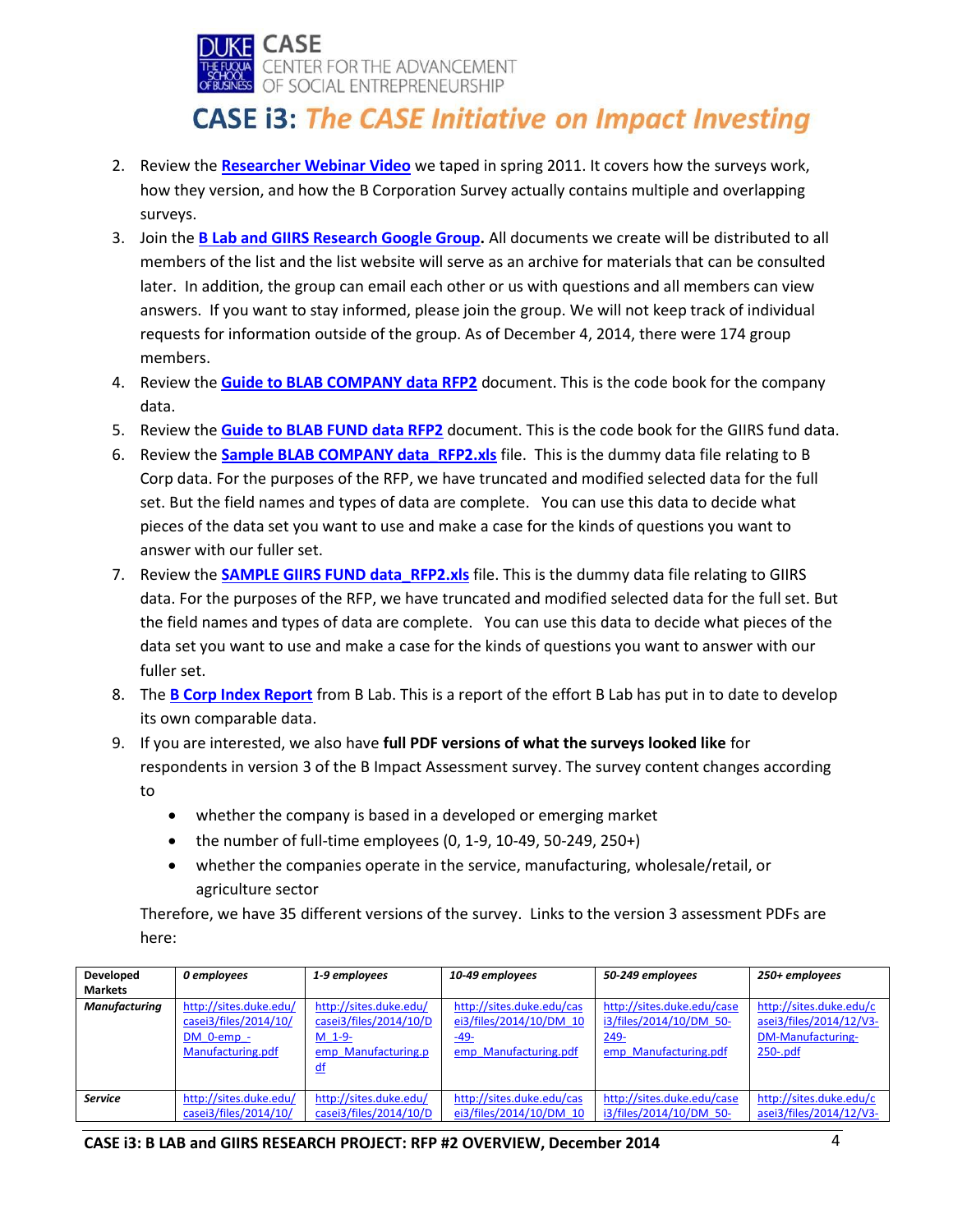

- 2. Review the **[Researcher Webinar Video](https://docs.google.com/open?id=0B5KlCKe7MjaLMjkxZjVhMDgtN2E2ZS00MWUyLWE4ODAtNGZhZTdjMjVjY2Yy&authkey=CNe0grkC)** we taped in spring 2011. It covers how the surveys work, how they version, and how the B Corporation Survey actually contains multiple and overlapping surveys.
- 3. Join the **[B Lab and GIIRS Research Google Group.](https://groups.google.com/d/forum/blab-and-giirs-research)** All documents we create will be distributed to all members of the list and the list website will serve as an archive for materials that can be consulted later. In addition, the group can email each other or us with questions and all members can view answers. If you want to stay informed, please join the group. We will not keep track of individual requests for information outside of the group. As of December 4, 2014, there were 174 group members.
- 4. Review the **[Guide to BLAB COMPANY data RFP2](http://sites.duke.edu/casei3/files/2014/12/Guide-to-BLAB-COMPANY-data-RFP2.pdf)** document. This is the code book for the company data.
- 5. Review the **[Guide to BLAB FUND data RFP2](http://sites.duke.edu/casei3/files/2014/12/Guide-to-BLAB-FUND-data-RFP2.pdf)** document. This is the code book for the GIIRS fund data.
- 6. Review the **[Sample BLAB COMPANY data\\_RFP2.xls](http://sites.duke.edu/casei3/files/2014/12/Sample-BLAB-Company-Data_-RFP2.xlsx)** file. This is the dummy data file relating to B Corp data. For the purposes of the RFP, we have truncated and modified selected data for the full set. But the field names and types of data are complete. You can use this data to decide what pieces of the data set you want to use and make a case for the kinds of questions you want to answer with our fuller set.
- 7. Review the **SAMPLE GIIRS FUND data RFP2.xls** file. This is the dummy data file relating to GIIRS data. For the purposes of the RFP, we have truncated and modified selected data for the full set. But the field names and types of data are complete. You can use this data to decide what pieces of the data set you want to use and make a case for the kinds of questions you want to answer with our fuller set.
- 8. The **B Corp [Index Report](http://www.bcorporation.net/sites/all/themes/adaptivetheme/bcorp/pdfs/bcorp_index.pdf)** from B Lab. This is a report of the effort B Lab has put in to date to develop its own comparable data.
- 9. If you are interested, we also have **full PDF versions of what the surveys looked like** for respondents in version 3 of the B Impact Assessment survey. The survey content changes according to
	- whether the company is based in a developed or emerging market
	- $\bullet$  the number of full-time employees (0, 1-9, 10-49, 50-249, 250+)
	- whether the companies operate in the service, manufacturing, wholesale/retail, or agriculture sector

Therefore, we have 35 different versions of the survey. Links to the version 3 assessment PDFs are here:

| Developed      | 0 employees                                                                        | 1-9 employees                                                                             | 10-49 employees                                                                         | 50-249 employees                                                                          | 250+ employees                                                                                |
|----------------|------------------------------------------------------------------------------------|-------------------------------------------------------------------------------------------|-----------------------------------------------------------------------------------------|-------------------------------------------------------------------------------------------|-----------------------------------------------------------------------------------------------|
| <b>Markets</b> |                                                                                    |                                                                                           |                                                                                         |                                                                                           |                                                                                               |
| Manufacturing  | http://sites.duke.edu/<br>casei3/files/2014/10/<br>DM 0-emp -<br>Manufacturing.pdf | http://sites.duke.edu/<br>casei3/files/2014/10/D<br>$M$ 1-9-<br>emp Manufacturing.p<br>df | http://sites.duke.edu/cas<br>ei3/files/2014/10/DM 10<br>$-49-$<br>emp Manufacturing.pdf | http://sites.duke.edu/case<br>i3/files/2014/10/DM 50-<br>$249 -$<br>emp Manufacturing.pdf | http://sites.duke.edu/c<br>asei3/files/2014/12/V3-<br><b>DM-Manufacturing-</b><br>$250 - pdf$ |
| <b>Service</b> | http://sites.duke.edu/<br>casei3/files/2014/10/                                    | http://sites.duke.edu/<br>casei3/files/2014/10/D                                          | http://sites.duke.edu/cas<br>ei3/files/2014/10/DM 10                                    | http://sites.duke.edu/case<br>i3/files/2014/10/DM 50-                                     | http://sites.duke.edu/c<br>asei3/files/2014/12/V3-                                            |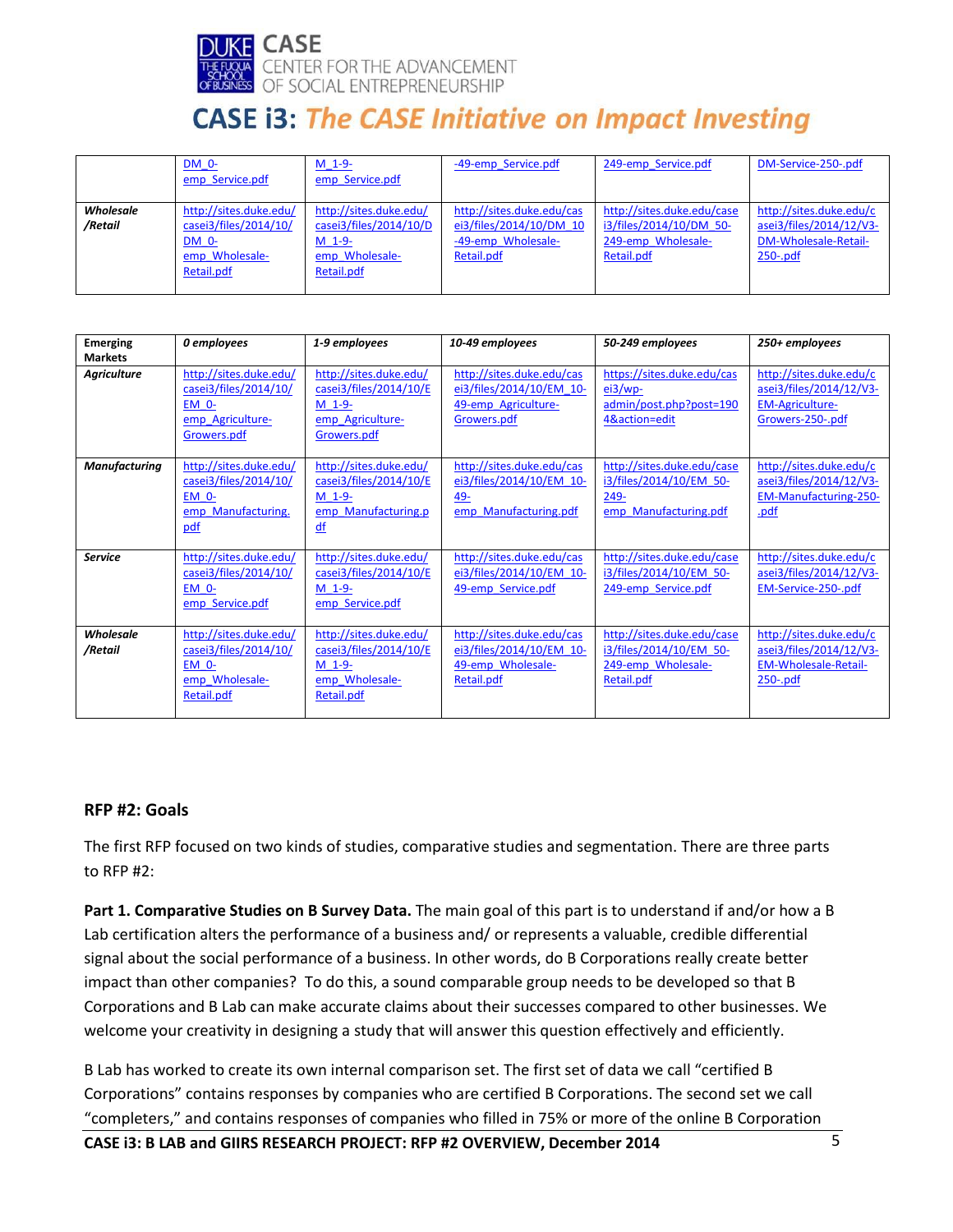

|                      | DM 0-<br>emp Service.pdf                                                                 | $M$ 1-9-<br>emp Service.pdf                                                                  | -49-emp Service.pdf                                                                      | 249-emp Service.pdf                                                                       | DM-Service-250-.pdf                                                                       |
|----------------------|------------------------------------------------------------------------------------------|----------------------------------------------------------------------------------------------|------------------------------------------------------------------------------------------|-------------------------------------------------------------------------------------------|-------------------------------------------------------------------------------------------|
| Wholesale<br>/Retail | http://sites.duke.edu/<br>casei3/files/2014/10/<br>DM 0-<br>emp Wholesale-<br>Retail.pdf | http://sites.duke.edu/<br>casei3/files/2014/10/D<br>$M$ 1-9-<br>emp Wholesale-<br>Retail.pdf | http://sites.duke.edu/cas<br>ei3/files/2014/10/DM 10<br>-49-emp Wholesale-<br>Retail.pdf | http://sites.duke.edu/case<br>i3/files/2014/10/DM 50-<br>249-emp Wholesale-<br>Retail.pdf | http://sites.duke.edu/c<br>asei3/files/2014/12/V3-<br>DM-Wholesale-Retail-<br>$250 - pdf$ |

| <b>Emerging</b><br><b>Markets</b> | 0 employees                                                                                  | 1-9 employees                                                                                   | 10-49 employees                                                                             | 50-249 employees                                                                          | 250+ employees                                                                                   |
|-----------------------------------|----------------------------------------------------------------------------------------------|-------------------------------------------------------------------------------------------------|---------------------------------------------------------------------------------------------|-------------------------------------------------------------------------------------------|--------------------------------------------------------------------------------------------------|
| <b>Agriculture</b>                | http://sites.duke.edu/<br>casei3/files/2014/10/<br>EM 0-<br>emp Agriculture-<br>Growers.pdf  | http://sites.duke.edu/<br>casei3/files/2014/10/E<br>$M$ 1-9-<br>emp Agriculture-<br>Growers.pdf | http://sites.duke.edu/cas<br>ei3/files/2014/10/EM 10-<br>49-emp Agriculture-<br>Growers.pdf | https://sites.duke.edu/cas<br>ei3/wp<br>admin/post.php?post=190<br>4&action=edit          | http://sites.duke.edu/c<br>asei3/files/2014/12/V3-<br><b>EM-Agriculture-</b><br>Growers-250-.pdf |
| <b>Manufacturing</b>              | http://sites.duke.edu/<br>casei3/files/2014/10/<br><b>EM 0-</b><br>emp Manufacturing.<br>pdf | http://sites.duke.edu/<br>casei3/files/2014/10/E<br>$M$ 1-9-<br>emp Manufacturing.p<br>df       | http://sites.duke.edu/cas<br>ei3/files/2014/10/EM 10-<br>49-<br>emp Manufacturing.pdf       | http://sites.duke.edu/case<br>i3/files/2014/10/EM 50-<br>249-<br>emp Manufacturing.pdf    | http://sites.duke.edu/c<br>asei3/files/2014/12/V3-<br><b>EM-Manufacturing-250-</b><br>.pdf       |
| <b>Service</b>                    | http://sites.duke.edu/<br>casei3/files/2014/10/<br>EM 0-<br>emp Service.pdf                  | http://sites.duke.edu/<br>casei3/files/2014/10/E<br>$M$ 1-9-<br>emp Service.pdf                 | http://sites.duke.edu/cas<br>ei3/files/2014/10/EM 10-<br>49-emp Service.pdf                 | http://sites.duke.edu/case<br>i3/files/2014/10/EM 50-<br>249-emp Service.pdf              | http://sites.duke.edu/c<br>asei3/files/2014/12/V3-<br>EM-Service-250-.pdf                        |
| Wholesale<br>/Retail              | http://sites.duke.edu/<br>casei3/files/2014/10/<br>EM 0-<br>emp Wholesale-<br>Retail.pdf     | http://sites.duke.edu/<br>casei3/files/2014/10/E<br>M 1-9-<br>emp Wholesale-<br>Retail.pdf      | http://sites.duke.edu/cas<br>ei3/files/2014/10/EM 10-<br>49-emp Wholesale-<br>Retail.pdf    | http://sites.duke.edu/case<br>i3/files/2014/10/EM 50-<br>249-emp Wholesale-<br>Retail.pdf | http://sites.duke.edu/c<br>asei3/files/2014/12/V3-<br><b>EM-Wholesale-Retail-</b><br>$250 - pdf$ |

### **RFP #2: Goals**

The first RFP focused on two kinds of studies, comparative studies and segmentation. There are three parts to RFP #2:

**Part 1. Comparative Studies on B Survey Data.** The main goal of this part is to understand if and/or how a B Lab certification alters the performance of a business and/ or represents a valuable, credible differential signal about the social performance of a business. In other words, do B Corporations really create better impact than other companies? To do this, a sound comparable group needs to be developed so that B Corporations and B Lab can make accurate claims about their successes compared to other businesses. We welcome your creativity in designing a study that will answer this question effectively and efficiently.

B Lab has worked to create its own internal comparison set. The first set of data we call "certified B Corporations" contains responses by companies who are certified B Corporations. The second set we call "completers," and contains responses of companies who filled in 75% or more of the online B Corporation

**CASE i3: B LAB and GIIRS RESEARCH PROJECT: RFP #2 OVERVIEW, December 2014** 5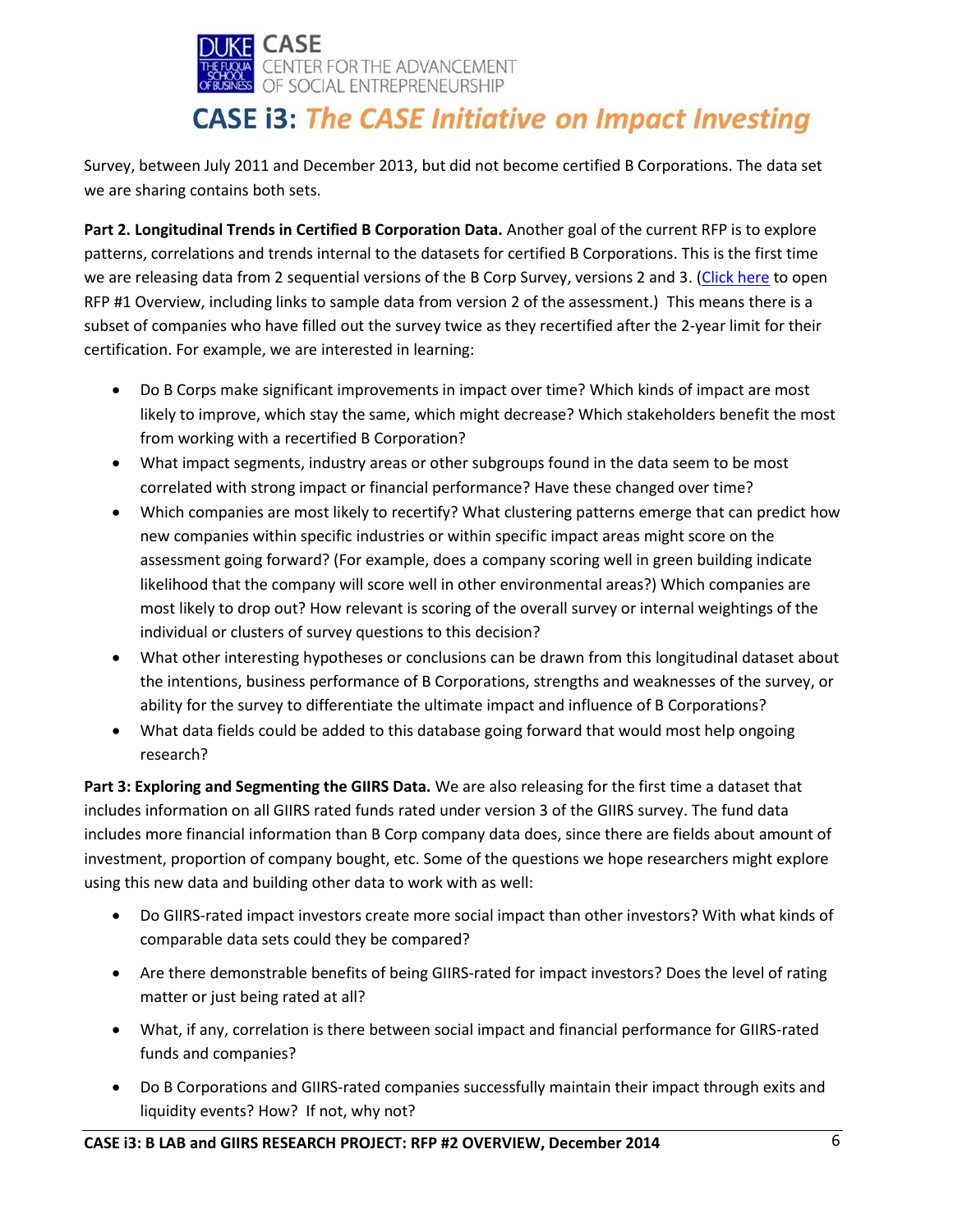

Survey, between July 2011 and December 2013, but did not become certified B Corporations. The data set we are sharing contains both sets.

**Part 2. Longitudinal Trends in Certified B Corporation Data.** Another goal of the current RFP is to explore patterns, correlations and trends internal to the datasets for certified B Corporations. This is the first time we are releasing data from 2 sequential versions of the B Corp Survey, versions 2 and 3. [\(Click here](http://sites.duke.edu/casei3/files/2014/12/CASE_BLAB_RFP1-1.pdf) to open RFP #1 Overview, including links to sample data from version 2 of the assessment.) This means there is a subset of companies who have filled out the survey twice as they recertified after the 2-year limit for their certification. For example, we are interested in learning:

- Do B Corps make significant improvements in impact over time? Which kinds of impact are most likely to improve, which stay the same, which might decrease? Which stakeholders benefit the most from working with a recertified B Corporation?
- What impact segments, industry areas or other subgroups found in the data seem to be most correlated with strong impact or financial performance? Have these changed over time?
- Which companies are most likely to recertify? What clustering patterns emerge that can predict how new companies within specific industries or within specific impact areas might score on the assessment going forward? (For example, does a company scoring well in green building indicate likelihood that the company will score well in other environmental areas?) Which companies are most likely to drop out? How relevant is scoring of the overall survey or internal weightings of the individual or clusters of survey questions to this decision?
- What other interesting hypotheses or conclusions can be drawn from this longitudinal dataset about the intentions, business performance of B Corporations, strengths and weaknesses of the survey, or ability for the survey to differentiate the ultimate impact and influence of B Corporations?
- What data fields could be added to this database going forward that would most help ongoing research?

**Part 3: Exploring and Segmenting the GIIRS Data.** We are also releasing for the first time a dataset that includes information on all GIIRS rated funds rated under version 3 of the GIIRS survey. The fund data includes more financial information than B Corp company data does, since there are fields about amount of investment, proportion of company bought, etc. Some of the questions we hope researchers might explore using this new data and building other data to work with as well:

- Do GIIRS-rated impact investors create more social impact than other investors? With what kinds of comparable data sets could they be compared?
- Are there demonstrable benefits of being GIIRS-rated for impact investors? Does the level of rating matter or just being rated at all?
- What, if any, correlation is there between social impact and financial performance for GIIRS-rated funds and companies?
- Do B Corporations and GIIRS-rated companies successfully maintain their impact through exits and liquidity events? How? If not, why not?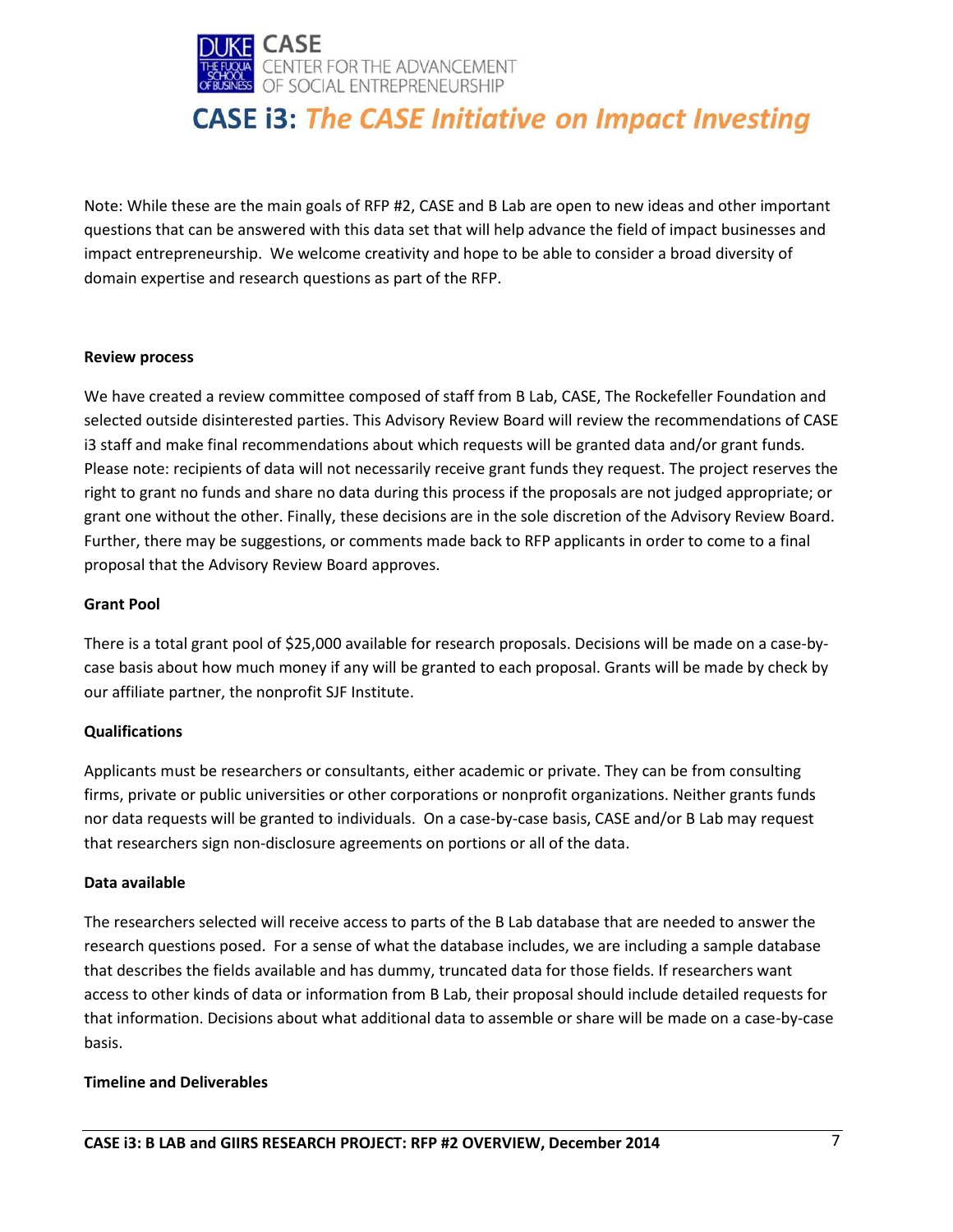

Note: While these are the main goals of RFP #2, CASE and B Lab are open to new ideas and other important questions that can be answered with this data set that will help advance the field of impact businesses and impact entrepreneurship. We welcome creativity and hope to be able to consider a broad diversity of domain expertise and research questions as part of the RFP.

#### **Review process**

We have created a review committee composed of staff from B Lab, CASE, The Rockefeller Foundation and selected outside disinterested parties. This Advisory Review Board will review the recommendations of CASE i3 staff and make final recommendations about which requests will be granted data and/or grant funds. Please note: recipients of data will not necessarily receive grant funds they request. The project reserves the right to grant no funds and share no data during this process if the proposals are not judged appropriate; or grant one without the other. Finally, these decisions are in the sole discretion of the Advisory Review Board. Further, there may be suggestions, or comments made back to RFP applicants in order to come to a final proposal that the Advisory Review Board approves.

### **Grant Pool**

There is a total grant pool of \$25,000 available for research proposals. Decisions will be made on a case-bycase basis about how much money if any will be granted to each proposal. Grants will be made by check by our affiliate partner, the nonprofit SJF Institute.

### **Qualifications**

Applicants must be researchers or consultants, either academic or private. They can be from consulting firms, private or public universities or other corporations or nonprofit organizations. Neither grants funds nor data requests will be granted to individuals. On a case-by-case basis, CASE and/or B Lab may request that researchers sign non-disclosure agreements on portions or all of the data.

#### **Data available**

The researchers selected will receive access to parts of the B Lab database that are needed to answer the research questions posed. For a sense of what the database includes, we are including a sample database that describes the fields available and has dummy, truncated data for those fields. If researchers want access to other kinds of data or information from B Lab, their proposal should include detailed requests for that information. Decisions about what additional data to assemble or share will be made on a case-by-case basis.

### **Timeline and Deliverables**